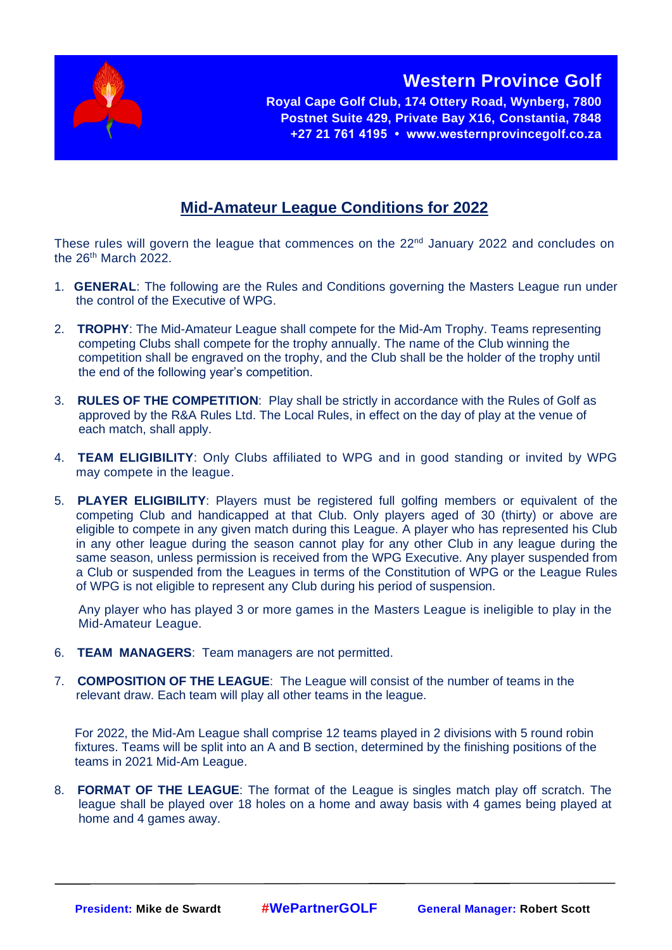

**Royal Cape Golf Club, 174 Ottery Road, Wynberg, 7800 Postnet Suite 429, Private Bay X16, Constantia, 7848 +27 21 761 4195 • www.westernprovincegolf.co.za**

**Western Province Golf** 

## **Mid-Amateur League Conditions for 2022**

These rules will govern the league that commences on the 22<sup>nd</sup> January 2022 and concludes on the 26<sup>th</sup> March 2022.

- 1. **GENERAL**: The following are the Rules and Conditions governing the Masters League run under the control of the Executive of WPG.
- 2. **TROPHY**: The Mid-Amateur League shall compete for the Mid-Am Trophy. Teams representing competing Clubs shall compete for the trophy annually. The name of the Club winning the competition shall be engraved on the trophy, and the Club shall be the holder of the trophy until the end of the following year's competition.
- 3. **RULES OF THE COMPETITION**: Play shall be strictly in accordance with the Rules of Golf as approved by the R&A Rules Ltd. The Local Rules, in effect on the day of play at the venue of each match, shall apply.
- 4. **TEAM ELIGIBILITY**: Only Clubs affiliated to WPG and in good standing or invited by WPG may compete in the league.
- 5. **PLAYER ELIGIBILITY**: Players must be registered full golfing members or equivalent of the competing Club and handicapped at that Club. Only players aged of 30 (thirty) or above are eligible to compete in any given match during this League. A player who has represented his Club in any other league during the season cannot play for any other Club in any league during the same season, unless permission is received from the WPG Executive. Any player suspended from a Club or suspended from the Leagues in terms of the Constitution of WPG or the League Rules of WPG is not eligible to represent any Club during his period of suspension.

Any player who has played 3 or more games in the Masters League is ineligible to play in the Mid-Amateur League.

- 6. **TEAM MANAGERS**: Team managers are not permitted.
- 7. **COMPOSITION OF THE LEAGUE**: The League will consist of the number of teams in the relevant draw. Each team will play all other teams in the league.

For 2022, the Mid-Am League shall comprise 12 teams played in 2 divisions with 5 round robin fixtures. Teams will be split into an A and B section, determined by the finishing positions of the teams in 2021 Mid-Am League.

8. **FORMAT OF THE LEAGUE**: The format of the League is singles match play off scratch. The league shall be played over 18 holes on a home and away basis with 4 games being played at home and 4 games away.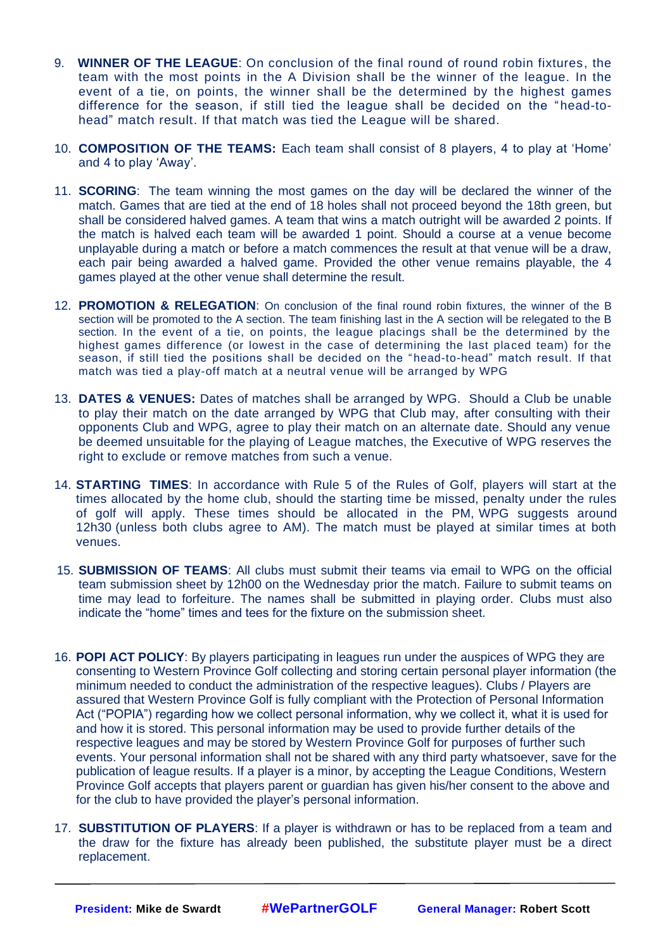- 9. **WINNER OF THE LEAGUE**: On conclusion of the final round of round robin fixtures, the team with the most points in the A Division shall be the winner of the league. In the event of a tie, on points, the winner shall be the determined by the highest games difference for the season, if still tied the league shall be decided on the "head-tohead" match result. If that match was tied the League will be shared.
- 10. **COMPOSITION OF THE TEAMS:** Each team shall consist of 8 players, 4 to play at 'Home' and 4 to play 'Away'.
- 11. **SCORING**: The team winning the most games on the day will be declared the winner of the match. Games that are tied at the end of 18 holes shall not proceed beyond the 18th green, but shall be considered halved games. A team that wins a match outright will be awarded 2 points. If the match is halved each team will be awarded 1 point. Should a course at a venue become unplayable during a match or before a match commences the result at that venue will be a draw, each pair being awarded a halved game. Provided the other venue remains playable, the 4 games played at the other venue shall determine the result.
- 12. **PROMOTION & RELEGATION**: On conclusion of the final round robin fixtures, the winner of the B section will be promoted to the A section. The team finishing last in the A section will be relegated to the B section. In the event of a tie, on points, the league placings shall be the determined by the highest games difference (or lowest in the case of determining the last placed team) for the season, if still tied the positions shall be decided on the "head-to-head" match result. If that match was tied a play-off match at a neutral venue will be arranged by WPG
- 13. **DATES & VENUES:** Dates of matches shall be arranged by WPG. Should a Club be unable to play their match on the date arranged by WPG that Club may, after consulting with their opponents Club and WPG, agree to play their match on an alternate date. Should any venue be deemed unsuitable for the playing of League matches, the Executive of WPG reserves the right to exclude or remove matches from such a venue.
- 14. **STARTING TIMES**: In accordance with Rule 5 of the Rules of Golf, players will start at the times allocated by the home club, should the starting time be missed, penalty under the rules of golf will apply. These times should be allocated in the PM, WPG suggests around 12h30 (unless both clubs agree to AM). The match must be played at similar times at both venues.
- 15. **SUBMISSION OF TEAMS**: All clubs must submit their teams via email to WPG on the official team submission sheet by 12h00 on the Wednesday prior the match. Failure to submit teams on time may lead to forfeiture. The names shall be submitted in playing order. Clubs must also indicate the "home" times and tees for the fixture on the submission sheet.
- 16. **POPI ACT POLICY**: By players participating in leagues run under the auspices of WPG they are consenting to Western Province Golf collecting and storing certain personal player information (the minimum needed to conduct the administration of the respective leagues). Clubs / Players are assured that Western Province Golf is fully compliant with the Protection of Personal Information Act ("POPIA") regarding how we collect personal information, why we collect it, what it is used for and how it is stored. This personal information may be used to provide further details of the respective leagues and may be stored by Western Province Golf for purposes of further such events. Your personal information shall not be shared with any third party whatsoever, save for the publication of league results. If a player is a minor, by accepting the League Conditions, Western Province Golf accepts that players parent or guardian has given his/her consent to the above and for the club to have provided the player's personal information.
- 17. **SUBSTITUTION OF PLAYERS**: If a player is withdrawn or has to be replaced from a team and the draw for the fixture has already been published, the substitute player must be a direct replacement.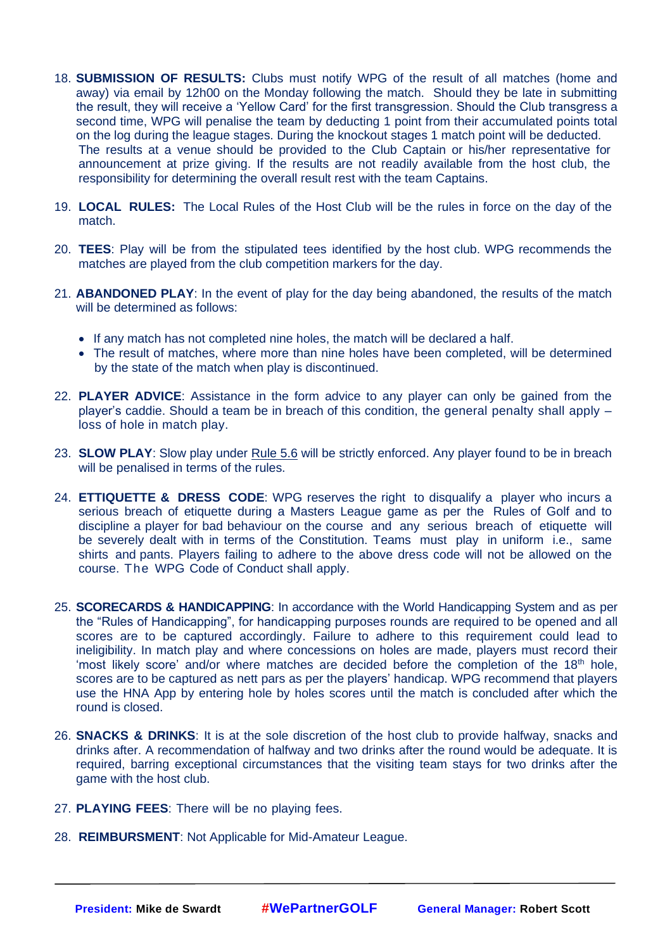- 18. **SUBMISSION OF RESULTS:** Clubs must notify WPG of the result of all matches (home and away) via email by 12h00 on the Monday following the match. Should they be late in submitting the result, they will receive a 'Yellow Card' for the first transgression. Should the Club transgress a second time, WPG will penalise the team by deducting 1 point from their accumulated points total on the log during the league stages. During the knockout stages 1 match point will be deducted. The results at a venue should be provided to the Club Captain or his/her representative for announcement at prize giving. If the results are not readily available from the host club, the responsibility for determining the overall result rest with the team Captains.
- 19. **LOCAL RULES:** The Local Rules of the Host Club will be the rules in force on the day of the match.
- 20. **TEES**: Play will be from the stipulated tees identified by the host club. WPG recommends the matches are played from the club competition markers for the day.
- 21. **ABANDONED PLAY**: In the event of play for the day being abandoned, the results of the match will be determined as follows:
	- If any match has not completed nine holes, the match will be declared a half.
	- The result of matches, where more than nine holes have been completed, will be determined by the state of the match when play is discontinued.
- 22. **PLAYER ADVICE**: Assistance in the form advice to any player can only be gained from the player's caddie. Should a team be in breach of this condition, the general penalty shall apply – loss of hole in match play.
- 23. **SLOW PLAY**: Slow play under Rule 5.6 will be strictly enforced. Any player found to be in breach will be penalised in terms of the rules.
- 24. **ETTIQUETTE & DRESS CODE**: WPG reserves the right to disqualify a player who incurs a serious breach of etiquette during a Masters League game as per the Rules of Golf and to discipline a player for bad behaviour on the course and any serious breach of etiquette will be severely dealt with in terms of the Constitution. Teams must play in uniform i.e., same shirts and pants. Players failing to adhere to the above dress code will not be allowed on the course. The WPG Code of Conduct shall apply.
- 25. **SCORECARDS & HANDICAPPING**: In accordance with the World Handicapping System and as per the "Rules of Handicapping", for handicapping purposes rounds are required to be opened and all scores are to be captured accordingly. Failure to adhere to this requirement could lead to ineligibility. In match play and where concessions on holes are made, players must record their 'most likely score' and/or where matches are decided before the completion of the  $18<sup>th</sup>$  hole, scores are to be captured as nett pars as per the players' handicap. WPG recommend that players use the HNA App by entering hole by holes scores until the match is concluded after which the round is closed.
- 26. **SNACKS & DRINKS**: It is at the sole discretion of the host club to provide halfway, snacks and drinks after. A recommendation of halfway and two drinks after the round would be adequate. It is required, barring exceptional circumstances that the visiting team stays for two drinks after the game with the host club.
- 27. **PLAYING FEES**: There will be no playing fees.
- 28. **REIMBURSMENT**: Not Applicable for Mid-Amateur League.